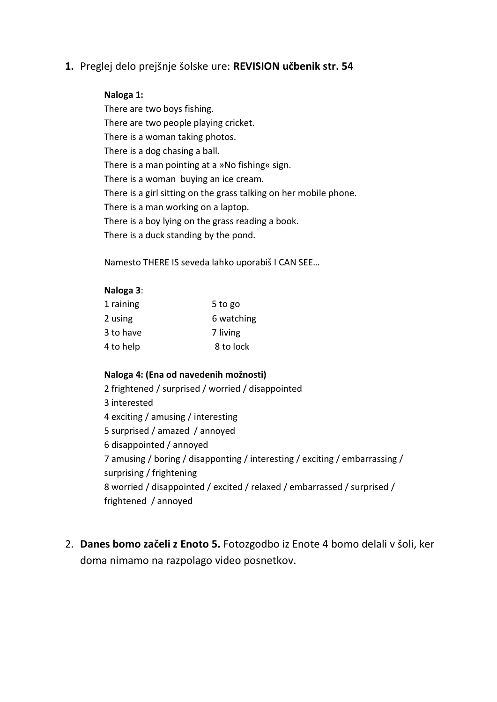# **1.** Preglej delo prejšnje šolske ure: **REVISION učbenik str. 54**

### **Naloga 1:**

There are two boys fishing. There are two people playing cricket. There is a woman taking photos. There is a dog chasing a ball. There is a man pointing at a »No fishing« sign. There is a woman buying an ice cream. There is a girl sitting on the grass talking on her mobile phone. There is a man working on a laptop. There is a boy lying on the grass reading a book. There is a duck standing by the pond.

Namesto THERE IS seveda lahko uporabiš I CAN SEE…

#### **Naloga 3**:

| 1 raining | 5 to go    |
|-----------|------------|
| 2 using   | 6 watching |
| 3 to have | 7 living   |
| 4 to help | 8 to lock  |

#### **Naloga 4: (Ena od navedenih možnosti)**

2 frightened / surprised / worried / disappointed 3 interested 4 exciting / amusing / interesting 5 surprised / amazed / annoyed 6 disappointed / annoyed 7 amusing / boring / disapponting / interesting / exciting / embarrassing / surprising / frightening 8 worried / disappointed / excited / relaxed / embarrassed / surprised / frightened / annoyed

2. **Danes bomo začeli z Enoto 5.** Fotozgodbo iz Enote 4 bomo delali v šoli, ker doma nimamo na razpolago video posnetkov.